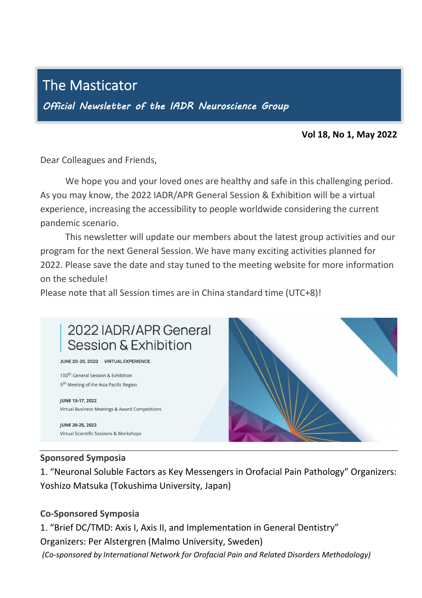## The Masticator

j

Official Newsletter of the IADR Neuroscience Group

## **Vol 18, No 1, May 2022**

Dear Colleagues and Friends,

We hope you and your loved ones are healthy and safe in this challenging period. As you may know, the 2022 IADR/APR General Session & Exhibition will be a virtual experience, increasing the accessibility to people worldwide considering the current<br>nandomis connatio pandemic scenario.  $\overline{a}$ 

This newsletter will update our members about the latest group activities and our program for the next General Session. We have many exciting activities planned for 2022. Please save the date and stay tuned to the meeting website for more information zozz. riease savi<br>on the schedule!

Please note that all Session times are in China standard time (UTC+8)! in the contract of the contract of the contract of the contract of the contract of the contract of the contract of the contract of the contract of the contract of the contract of the contract of the contract of the contrac



## **Sponsored Symposia**

Virtual Scientific Sessions & Workshops

**JUNE 20-25, 2022** 

1. "Neuronal Soluble Factors as Key Messengers in Orofacial Pain Pathology" Organizers: Yoshizo Matsuka (Tokushima University, Japan)

## **Co-Sponsored Symposia**

1. "Brief DC/TMD: Axis I, Axis II, and Implementation in General Dentistry" Organizers: Per Alstergren (Malmo University, Sweden) *(Co-sponsored by International Network for Orofacial Pain and Related Disorders Methodology)*